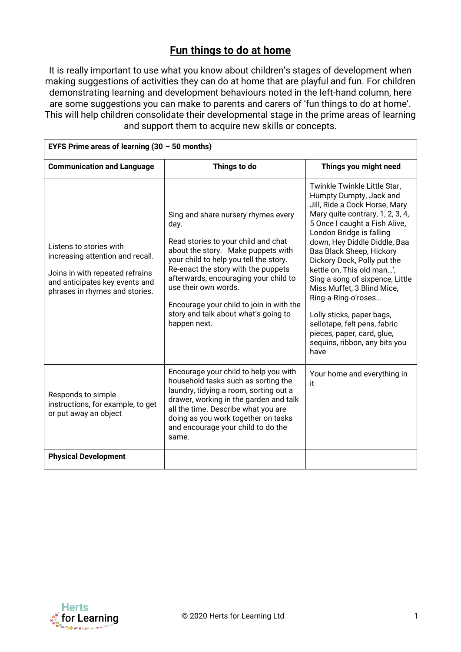## **Fun things to do at home**

It is really important to use what you know about children's stages of development when making suggestions of activities they can do at home that are playful and fun. For children demonstrating learning and development behaviours noted in the left-hand column, here are some suggestions you can make to parents and carers of 'fun things to do at home'. This will help children consolidate their developmental stage in the prime areas of learning and support them to acquire new skills or concepts.

| EYFS Prime areas of learning $(30 - 50$ months)                                                                                                                    |                                                                                                                                                                                                                                                                                                                                                                                |                                                                                                                                                                                                                                                                                                                                                                                                                                                                                                                                               |  |  |
|--------------------------------------------------------------------------------------------------------------------------------------------------------------------|--------------------------------------------------------------------------------------------------------------------------------------------------------------------------------------------------------------------------------------------------------------------------------------------------------------------------------------------------------------------------------|-----------------------------------------------------------------------------------------------------------------------------------------------------------------------------------------------------------------------------------------------------------------------------------------------------------------------------------------------------------------------------------------------------------------------------------------------------------------------------------------------------------------------------------------------|--|--|
| <b>Communication and Language</b>                                                                                                                                  | Things to do                                                                                                                                                                                                                                                                                                                                                                   | Things you might need                                                                                                                                                                                                                                                                                                                                                                                                                                                                                                                         |  |  |
| Listens to stories with<br>increasing attention and recall.<br>Joins in with repeated refrains<br>and anticipates key events and<br>phrases in rhymes and stories. | Sing and share nursery rhymes every<br>day.<br>Read stories to your child and chat<br>about the story. Make puppets with<br>your child to help you tell the story.<br>Re-enact the story with the puppets<br>afterwards, encouraging your child to<br>use their own words.<br>Encourage your child to join in with the<br>story and talk about what's going to<br>happen next. | Twinkle Twinkle Little Star,<br>Humpty Dumpty, Jack and<br>Jill, Ride a Cock Horse, Mary<br>Mary quite contrary, 1, 2, 3, 4,<br>5 Once I caught a Fish Alive,<br>London Bridge is falling<br>down, Hey Diddle Diddle, Baa<br>Baa Black Sheep, Hickory<br>Dickory Dock, Polly put the<br>kettle on, This old man',<br>Sing a song of sixpence, Little<br>Miss Muffet, 3 Blind Mice,<br>Ring-a-Ring-o'roses<br>Lolly sticks, paper bags,<br>sellotape, felt pens, fabric<br>pieces, paper, card, glue,<br>sequins, ribbon, any bits you<br>have |  |  |
| Responds to simple<br>instructions, for example, to get<br>or put away an object                                                                                   | Encourage your child to help you with<br>household tasks such as sorting the<br>laundry, tidying a room, sorting out a<br>drawer, working in the garden and talk<br>all the time. Describe what you are<br>doing as you work together on tasks<br>and encourage your child to do the<br>same.                                                                                  | Your home and everything in<br>it                                                                                                                                                                                                                                                                                                                                                                                                                                                                                                             |  |  |
| <b>Physical Development</b>                                                                                                                                        |                                                                                                                                                                                                                                                                                                                                                                                |                                                                                                                                                                                                                                                                                                                                                                                                                                                                                                                                               |  |  |

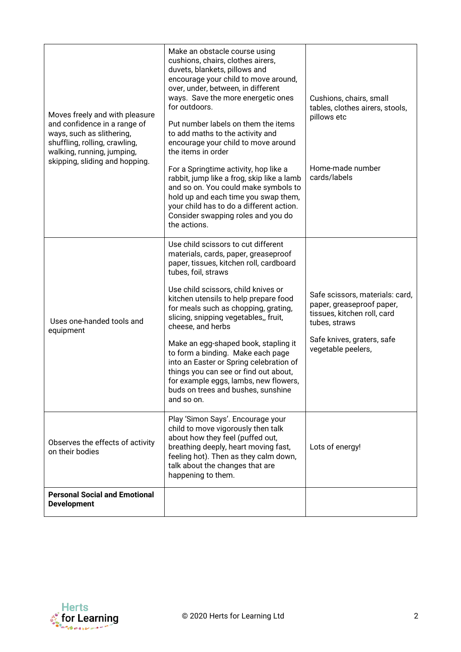| Moves freely and with pleasure<br>and confidence in a range of<br>ways, such as slithering,<br>shuffling, rolling, crawling,<br>walking, running, jumping,<br>skipping, sliding and hopping. | Make an obstacle course using<br>cushions, chairs, clothes airers,<br>duvets, blankets, pillows and<br>encourage your child to move around,<br>over, under, between, in different<br>ways. Save the more energetic ones<br>for outdoors.<br>Put number labels on them the items<br>to add maths to the activity and<br>encourage your child to move around<br>the items in order<br>For a Springtime activity, hop like a<br>rabbit, jump like a frog, skip like a lamb<br>and so on. You could make symbols to<br>hold up and each time you swap them,<br>your child has to do a different action.<br>Consider swapping roles and you do<br>the actions. | Cushions, chairs, small<br>tables, clothes airers, stools,<br>pillows etc<br>Home-made number<br>cards/labels                                                    |
|----------------------------------------------------------------------------------------------------------------------------------------------------------------------------------------------|-----------------------------------------------------------------------------------------------------------------------------------------------------------------------------------------------------------------------------------------------------------------------------------------------------------------------------------------------------------------------------------------------------------------------------------------------------------------------------------------------------------------------------------------------------------------------------------------------------------------------------------------------------------|------------------------------------------------------------------------------------------------------------------------------------------------------------------|
| Uses one-handed tools and<br>equipment                                                                                                                                                       | Use child scissors to cut different<br>materials, cards, paper, greaseproof<br>paper, tissues, kitchen roll, cardboard<br>tubes, foil, straws<br>Use child scissors, child knives or<br>kitchen utensils to help prepare food<br>for meals such as chopping, grating,<br>slicing, snipping vegetables,, fruit,<br>cheese, and herbs<br>Make an egg-shaped book, stapling it<br>to form a binding. Make each page<br>into an Easter or Spring celebration of<br>things you can see or find out about,<br>for example eggs, lambs, new flowers,<br>buds on trees and bushes, sunshine<br>and so on.                                                         | Safe scissors, materials: card,<br>paper, greaseproof paper,<br>tissues, kitchen roll, card<br>tubes, straws<br>Safe knives, graters, safe<br>vegetable peelers, |
| Observes the effects of activity<br>on their bodies                                                                                                                                          | Play 'Simon Says'. Encourage your<br>child to move vigorously then talk<br>about how they feel (puffed out,<br>breathing deeply, heart moving fast,<br>feeling hot). Then as they calm down,<br>talk about the changes that are<br>happening to them.                                                                                                                                                                                                                                                                                                                                                                                                     | Lots of energy!                                                                                                                                                  |
| <b>Personal Social and Emotional</b><br><b>Development</b>                                                                                                                                   |                                                                                                                                                                                                                                                                                                                                                                                                                                                                                                                                                                                                                                                           |                                                                                                                                                                  |